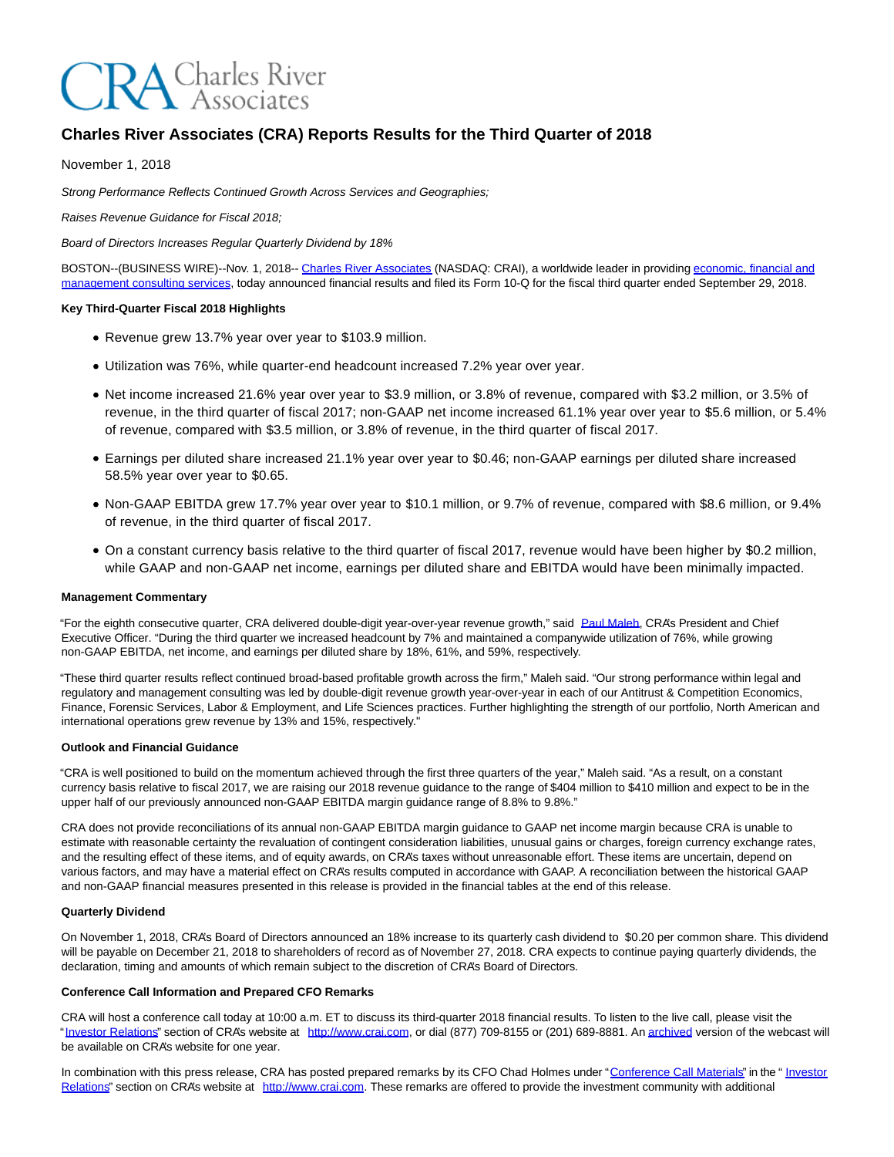# **CRA** Charles River

# **Charles River Associates (CRA) Reports Results for the Third Quarter of 2018**

## November 1, 2018

Strong Performance Reflects Continued Growth Across Services and Geographies;

Raises Revenue Guidance for Fiscal 2018;

Board of Directors Increases Regular Quarterly Dividend by 18%

BOSTON--(BUSINESS WIRE)--Nov. 1, 2018-- [Charles River Associates \(](http://cts.businesswire.com/ct/CT?id=smartlink&url=http%3A%2F%2Fwww.crai.com%2FDefault.aspx&esheet=51892164&newsitemid=20181101005536&lan=en-US&anchor=Charles+River+Associates&index=1&md5=101dc0e151052cdbd83989c968937025)NASDAQ: CRAI), a worldwide leader in providin[g economic, financial and](http://cts.businesswire.com/ct/CT?id=smartlink&url=http%3A%2F%2Fwww.crai.com%2F&esheet=51892164&newsitemid=20181101005536&lan=en-US&anchor=economic%2C+financial+and+management+consulting+services&index=2&md5=2e8361f3bff47811ca5cf3f89b6f8fe1) management consulting services, today announced financial results and filed its Form 10-Q for the fiscal third quarter ended September 29, 2018.

#### **Key Third-Quarter Fiscal 2018 Highlights**

- Revenue grew 13.7% year over year to \$103.9 million.
- Utilization was 76%, while quarter-end headcount increased 7.2% year over year.
- Net income increased 21.6% year over year to \$3.9 million, or 3.8% of revenue, compared with \$3.2 million, or 3.5% of revenue, in the third quarter of fiscal 2017; non-GAAP net income increased 61.1% year over year to \$5.6 million, or 5.4% of revenue, compared with \$3.5 million, or 3.8% of revenue, in the third quarter of fiscal 2017.
- Earnings per diluted share increased 21.1% year over year to \$0.46; non-GAAP earnings per diluted share increased 58.5% year over year to \$0.65.
- Non-GAAP EBITDA grew 17.7% year over year to \$10.1 million, or 9.7% of revenue, compared with \$8.6 million, or 9.4% of revenue, in the third quarter of fiscal 2017.
- On a constant currency basis relative to the third quarter of fiscal 2017, revenue would have been higher by \$0.2 million, while GAAP and non-GAAP net income, earnings per diluted share and EBITDA would have been minimally impacted.

#### **Management Commentary**

"For the eighth consecutive quarter, CRA delivered double-digit year-over-year revenue growth," said [Paul Maleh,](http://cts.businesswire.com/ct/CT?id=smartlink&url=http%3A%2F%2Fwww.crai.com%2Fexpert%2Fpaul-maleh&esheet=51892164&newsitemid=20181101005536&lan=en-US&anchor=Paul+Maleh&index=3&md5=515ab7da76fa1aa1255840f9352dc1d9) CRA's President and Chief Executive Officer. "During the third quarter we increased headcount by 7% and maintained a companywide utilization of 76%, while growing non-GAAP EBITDA, net income, and earnings per diluted share by 18%, 61%, and 59%, respectively.

"These third quarter results reflect continued broad-based profitable growth across the firm," Maleh said. "Our strong performance within legal and regulatory and management consulting was led by double-digit revenue growth year-over-year in each of our Antitrust & Competition Economics, Finance, Forensic Services, Labor & Employment, and Life Sciences practices. Further highlighting the strength of our portfolio, North American and international operations grew revenue by 13% and 15%, respectively."

#### **Outlook and Financial Guidance**

"CRA is well positioned to build on the momentum achieved through the first three quarters of the year," Maleh said. "As a result, on a constant currency basis relative to fiscal 2017, we are raising our 2018 revenue guidance to the range of \$404 million to \$410 million and expect to be in the upper half of our previously announced non-GAAP EBITDA margin guidance range of 8.8% to 9.8%."

CRA does not provide reconciliations of its annual non-GAAP EBITDA margin guidance to GAAP net income margin because CRA is unable to estimate with reasonable certainty the revaluation of contingent consideration liabilities, unusual gains or charges, foreign currency exchange rates, and the resulting effect of these items, and of equity awards, on CRA's taxes without unreasonable effort. These items are uncertain, depend on various factors, and may have a material effect on CRA's results computed in accordance with GAAP. A reconciliation between the historical GAAP and non-GAAP financial measures presented in this release is provided in the financial tables at the end of this release.

#### **Quarterly Dividend**

On November 1, 2018, CRA's Board of Directors announced an 18% increase to its quarterly cash dividend to \$0.20 per common share. This dividend will be payable on December 21, 2018 to shareholders of record as of November 27, 2018. CRA expects to continue paying quarterly dividends, the declaration, timing and amounts of which remain subject to the discretion of CRA's Board of Directors.

#### **Conference Call Information and Prepared CFO Remarks**

CRA will host a conference call today at 10:00 a.m. ET to discuss its third-quarter 2018 financial results. To listen to the live call, please visit the ["Investor Relations"](http://cts.businesswire.com/ct/CT?id=smartlink&url=https%3A%2F%2Fcrainternationalinc.gcs-web.com%2Finvestor-overview&esheet=51892164&newsitemid=20181101005536&lan=en-US&anchor=Investor+Relations&index=4&md5=70e2bd35cf3e96783e9ade7ff12ec2aa) section of CRA's website at [http://www.crai.com,](http://cts.businesswire.com/ct/CT?id=smartlink&url=http%3A%2F%2Fwww.crai.com%2FDefault.aspx&esheet=51892164&newsitemid=20181101005536&lan=en-US&anchor=http%3A%2F%2Fwww.crai.com&index=5&md5=6db3faeca2a1379a25d8b3ee164c5fcc) or dial (877) 709-8155 or (201) 689-8881. A[n archived v](http://cts.businesswire.com/ct/CT?id=smartlink&url=https%3A%2F%2Fcrainternationalinc.gcs-web.com%2Fevents%2Fevent-details%2Fq2-2018-charles-river-associates-earnings-conference-call&esheet=51892164&newsitemid=20181101005536&lan=en-US&anchor=archived&index=6&md5=9d4fa88f92a3b1b1fa2553d6c6183cc3)ersion of the webcast will be available on CRA's website for one year.

In combination with this press release, CRA has posted prepared remarks by its CFO Chad Holmes under ["Conference Call Materials"](http://cts.businesswire.com/ct/CT?id=smartlink&url=https%3A%2F%2Fcrainternationalinc.gcs-web.com%2Ffinancial-information%2Fquarterly-results&esheet=51892164&newsitemid=20181101005536&lan=en-US&anchor=Conference+Call+Materials&index=7&md5=9ce0bcd66222206f326149c293fa28a7) in the " [Investor](http://cts.businesswire.com/ct/CT?id=smartlink&url=https%3A%2F%2Fcrainternationalinc.gcs-web.com%2Finvestor-overview&esheet=51892164&newsitemid=20181101005536&lan=en-US&anchor=Investor+Relations&index=8&md5=08225683ef9490a4ade86422f0a84119) Relations" section on CRA's website at [http://www.crai.com.](http://cts.businesswire.com/ct/CT?id=smartlink&url=http%3A%2F%2Fwww.crai.com%2FDefault.aspx&esheet=51892164&newsitemid=20181101005536&lan=en-US&anchor=http%3A%2F%2Fwww.crai.com&index=9&md5=0bc8daf7fa383a4ce8fe070415343234) These remarks are offered to provide the investment community with additional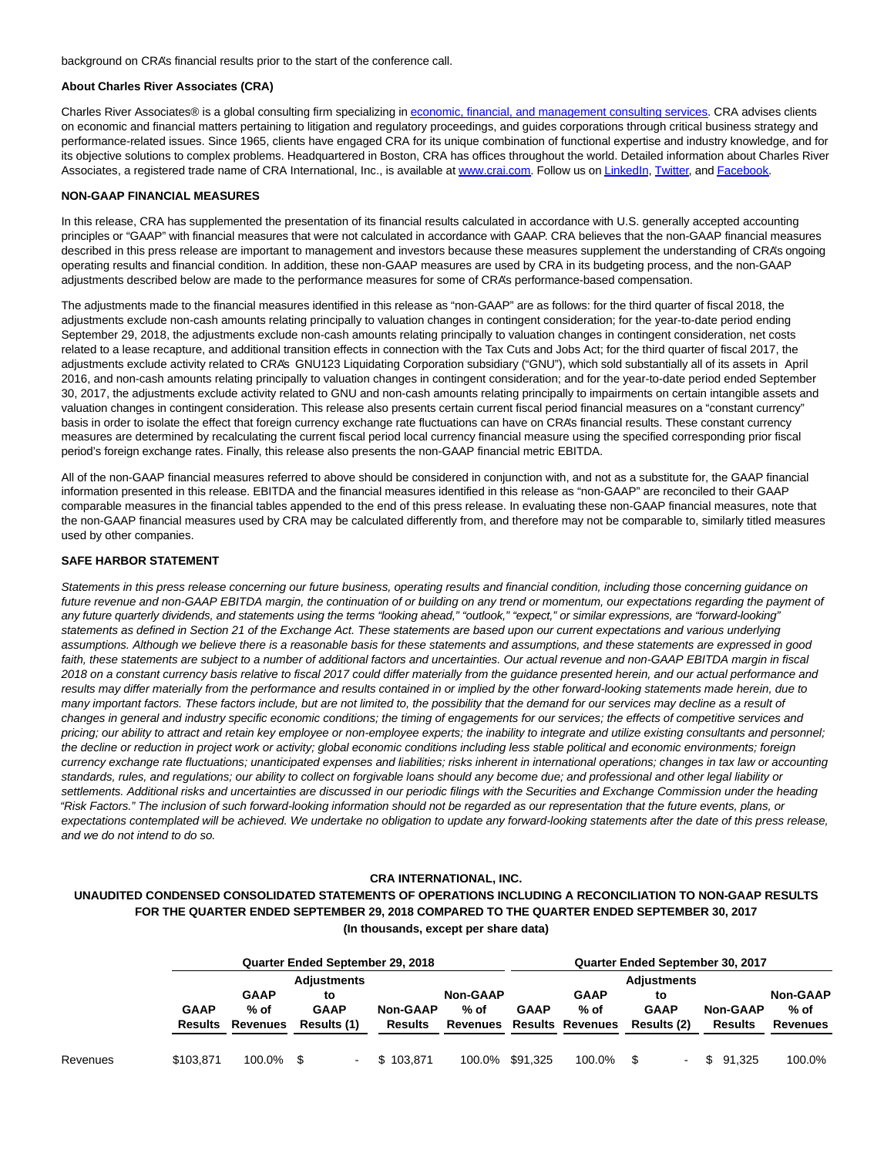background on CRA's financial results prior to the start of the conference call.

#### **About Charles River Associates (CRA)**

Charles River Associates® is a global consulting firm specializing i[n economic, financial, and management consulting services.](http://cts.businesswire.com/ct/CT?id=smartlink&url=http%3A%2F%2Fwww.crai.com%2F&esheet=51892164&newsitemid=20181101005536&lan=en-US&anchor=economic%2C+financial%2C+and+management+consulting+services&index=10&md5=8110b01f8cb9e74f88f1f6b39cbb3d50) CRA advises clients on economic and financial matters pertaining to litigation and regulatory proceedings, and guides corporations through critical business strategy and performance-related issues. Since 1965, clients have engaged CRA for its unique combination of functional expertise and industry knowledge, and for its objective solutions to complex problems. Headquartered in Boston, CRA has offices throughout the world. Detailed information about Charles River Associates, a registered trade name of CRA International, Inc., is available a[t www.crai.com.](http://cts.businesswire.com/ct/CT?id=smartlink&url=http%3A%2F%2Fwww.crai.com&esheet=51892164&newsitemid=20181101005536&lan=en-US&anchor=www.crai.com&index=11&md5=1c60697412f777acc701175d426b2136) Follow us o[n LinkedIn,](http://cts.businesswire.com/ct/CT?id=smartlink&url=https%3A%2F%2Fwww.linkedin.com%2Fcompany%2Fcharles-river-associates&esheet=51892164&newsitemid=20181101005536&lan=en-US&anchor=LinkedIn&index=12&md5=0e6eb001f11e68bab3ee6031cf6d0eb5) [Twitter,](http://cts.businesswire.com/ct/CT?id=smartlink&url=https%3A%2F%2Ftwitter.com%2FNews_CRA&esheet=51892164&newsitemid=20181101005536&lan=en-US&anchor=Twitter&index=13&md5=28021069c9f0510b9188a52d048c67b4) an[d Facebook.](http://cts.businesswire.com/ct/CT?id=smartlink&url=https%3A%2F%2Fwww.facebook.com%2FCharlesRiverAssociates&esheet=51892164&newsitemid=20181101005536&lan=en-US&anchor=Facebook&index=14&md5=8c165f4d5fa6f485975e538d66052861)

#### **NON-GAAP FINANCIAL MEASURES**

In this release, CRA has supplemented the presentation of its financial results calculated in accordance with U.S. generally accepted accounting principles or "GAAP" with financial measures that were not calculated in accordance with GAAP. CRA believes that the non-GAAP financial measures described in this press release are important to management and investors because these measures supplement the understanding of CRA's ongoing operating results and financial condition. In addition, these non-GAAP measures are used by CRA in its budgeting process, and the non-GAAP adjustments described below are made to the performance measures for some of CRA's performance-based compensation.

The adjustments made to the financial measures identified in this release as "non-GAAP" are as follows: for the third quarter of fiscal 2018, the adjustments exclude non-cash amounts relating principally to valuation changes in contingent consideration; for the year-to-date period ending September 29, 2018, the adjustments exclude non-cash amounts relating principally to valuation changes in contingent consideration, net costs related to a lease recapture, and additional transition effects in connection with the Tax Cuts and Jobs Act; for the third quarter of fiscal 2017, the adjustments exclude activity related to CRA's GNU123 Liquidating Corporation subsidiary ("GNU"), which sold substantially all of its assets in April 2016, and non-cash amounts relating principally to valuation changes in contingent consideration; and for the year-to-date period ended September 30, 2017, the adjustments exclude activity related to GNU and non-cash amounts relating principally to impairments on certain intangible assets and valuation changes in contingent consideration. This release also presents certain current fiscal period financial measures on a "constant currency" basis in order to isolate the effect that foreign currency exchange rate fluctuations can have on CRA's financial results. These constant currency measures are determined by recalculating the current fiscal period local currency financial measure using the specified corresponding prior fiscal period's foreign exchange rates. Finally, this release also presents the non-GAAP financial metric EBITDA.

All of the non-GAAP financial measures referred to above should be considered in conjunction with, and not as a substitute for, the GAAP financial information presented in this release. EBITDA and the financial measures identified in this release as "non-GAAP" are reconciled to their GAAP comparable measures in the financial tables appended to the end of this press release. In evaluating these non-GAAP financial measures, note that the non-GAAP financial measures used by CRA may be calculated differently from, and therefore may not be comparable to, similarly titled measures used by other companies.

#### **SAFE HARBOR STATEMENT**

Statements in this press release concerning our future business, operating results and financial condition, including those concerning guidance on future revenue and non-GAAP EBITDA margin, the continuation of or building on any trend or momentum, our expectations regarding the payment of any future quarterly dividends, and statements using the terms "looking ahead," "outlook," "expect," or similar expressions, are "forward-looking" statements as defined in Section 21 of the Exchange Act. These statements are based upon our current expectations and various underlying assumptions. Although we believe there is a reasonable basis for these statements and assumptions, and these statements are expressed in good faith, these statements are subject to a number of additional factors and uncertainties. Our actual revenue and non-GAAP EBITDA margin in fiscal 2018 on a constant currency basis relative to fiscal 2017 could differ materially from the guidance presented herein, and our actual performance and results may differ materially from the performance and results contained in or implied by the other forward-looking statements made herein, due to many important factors. These factors include, but are not limited to, the possibility that the demand for our services may decline as a result of changes in general and industry specific economic conditions; the timing of engagements for our services; the effects of competitive services and pricing; our ability to attract and retain key employee or non-employee experts; the inability to integrate and utilize existing consultants and personnel; the decline or reduction in project work or activity; global economic conditions including less stable political and economic environments; foreign currency exchange rate fluctuations; unanticipated expenses and liabilities; risks inherent in international operations; changes in tax law or accounting standards, rules, and regulations; our ability to collect on forgivable loans should any become due; and professional and other legal liability or settlements. Additional risks and uncertainties are discussed in our periodic filings with the Securities and Exchange Commission under the heading "Risk Factors." The inclusion of such forward-looking information should not be regarded as our representation that the future events, plans, or expectations contemplated will be achieved. We undertake no obligation to update any forward-looking statements after the date of this press release, and we do not intend to do so.

#### **CRA INTERNATIONAL, INC.**

**UNAUDITED CONDENSED CONSOLIDATED STATEMENTS OF OPERATIONS INCLUDING A RECONCILIATION TO NON-GAAP RESULTS FOR THE QUARTER ENDED SEPTEMBER 29, 2018 COMPARED TO THE QUARTER ENDED SEPTEMBER 30, 2017 (In thousands, except per share data)**

|          |                               |                                        | Quarter Ended September 29, 2018 |                                   |                                     |                    |                                                | Quarter Ended September 30, 2017        |                                   |                                            |  |  |
|----------|-------------------------------|----------------------------------------|----------------------------------|-----------------------------------|-------------------------------------|--------------------|------------------------------------------------|-----------------------------------------|-----------------------------------|--------------------------------------------|--|--|
|          |                               |                                        | <b>Adjustments</b>               |                                   |                                     | <b>Adjustments</b> |                                                |                                         |                                   |                                            |  |  |
|          | <b>GAAP</b><br><b>Results</b> | <b>GAAP</b><br>% of<br><b>Revenues</b> | to<br><b>GAAP</b><br>Results (1) | <b>Non-GAAP</b><br><b>Results</b> | <b>Non-GAAP</b><br>% of<br>Revenues | <b>GAAP</b>        | <b>GAAP</b><br>% of<br><b>Results Revenues</b> | to<br><b>GAAP</b><br><b>Results</b> (2) | <b>Non-GAAP</b><br><b>Results</b> | <b>Non-GAAP</b><br>% of<br><b>Revenues</b> |  |  |
| Revenues | \$103.871                     | 100.0%                                 | $\overline{\phantom{a}}$         | \$103.871                         |                                     | 100.0% \$91,325    | 100.0%                                         | $\blacksquare$                          | \$91.325                          | 100.0%                                     |  |  |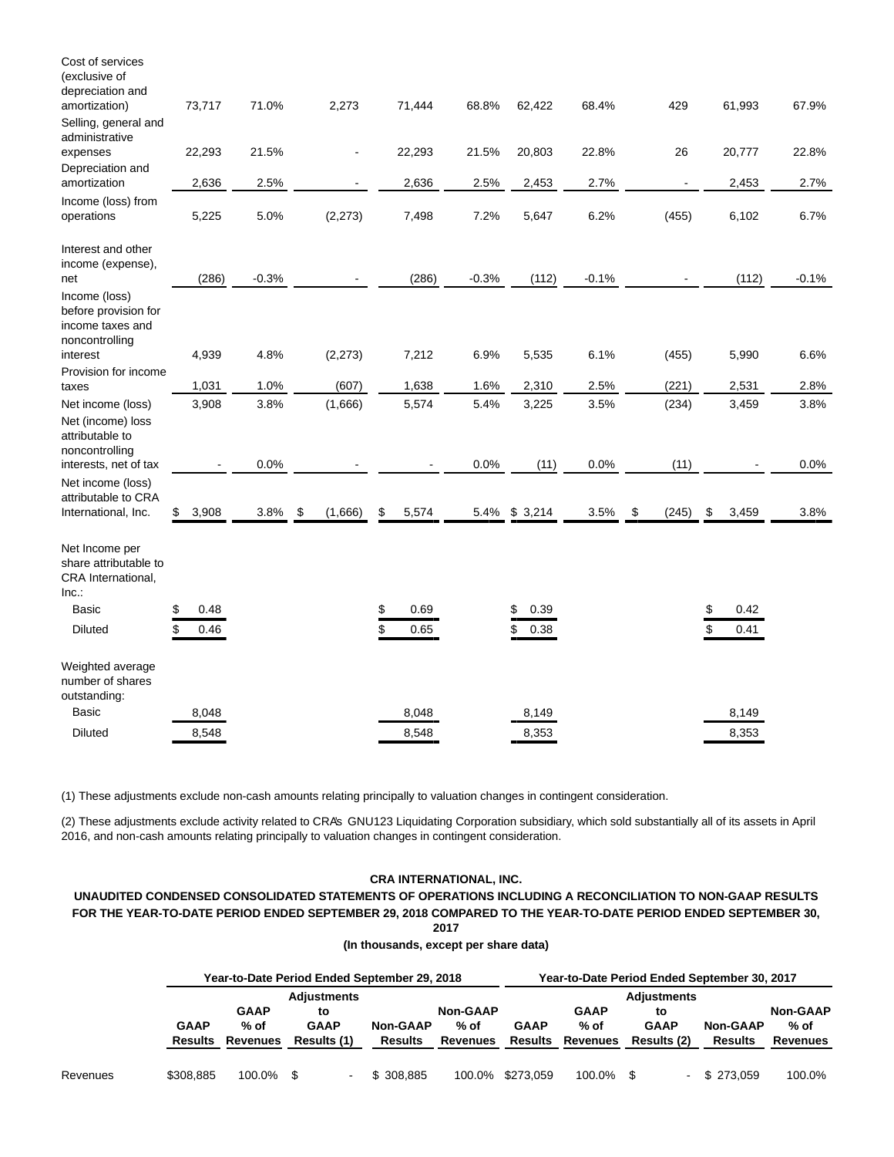| Cost of services<br>(exclusive of                                                  |             |         |               |             |         |            |         |             |             |         |
|------------------------------------------------------------------------------------|-------------|---------|---------------|-------------|---------|------------|---------|-------------|-------------|---------|
| depreciation and<br>amortization)                                                  | 73,717      | 71.0%   | 2,273         | 71,444      | 68.8%   | 62,422     | 68.4%   | 429         | 61,993      | 67.9%   |
| Selling, general and                                                               |             |         |               |             |         |            |         |             |             |         |
| administrative<br>expenses                                                         | 22,293      | 21.5%   |               | 22,293      | 21.5%   | 20,803     | 22.8%   | 26          | 20,777      | 22.8%   |
| Depreciation and                                                                   |             |         |               |             |         |            |         |             |             |         |
| amortization                                                                       | 2,636       | 2.5%    |               | 2,636       | 2.5%    | 2,453      | 2.7%    |             | 2,453       | 2.7%    |
| Income (loss) from<br>operations                                                   | 5,225       | 5.0%    | (2, 273)      | 7,498       | 7.2%    | 5,647      | 6.2%    | (455)       | 6,102       | 6.7%    |
| Interest and other<br>income (expense),                                            | (286)       | $-0.3%$ |               | (286)       | $-0.3%$ |            | $-0.1%$ |             |             | $-0.1%$ |
| net<br>Income (loss)<br>before provision for<br>income taxes and<br>noncontrolling |             |         |               |             |         | (112)      |         |             | (112)       |         |
| interest                                                                           | 4,939       | 4.8%    | (2, 273)      | 7,212       | 6.9%    | 5,535      | 6.1%    | (455)       | 5,990       | 6.6%    |
| Provision for income<br>taxes                                                      | 1,031       | 1.0%    | (607)         | 1,638       | 1.6%    | 2,310      | 2.5%    | (221)       | 2,531       | 2.8%    |
| Net income (loss)                                                                  | 3,908       | 3.8%    | (1,666)       | 5,574       | 5.4%    | 3,225      | 3.5%    | (234)       | 3,459       | 3.8%    |
| Net (income) loss<br>attributable to<br>noncontrolling<br>interests, net of tax    |             | 0.0%    |               |             | 0.0%    | (11)       | 0.0%    | (11)        |             | 0.0%    |
| Net income (loss)                                                                  |             |         |               |             |         |            |         |             |             |         |
| attributable to CRA<br>International, Inc.                                         | 3,908<br>\$ | 3.8%    | \$<br>(1,666) | 5,574<br>\$ | 5.4%    | \$3,214    | 3.5%    | \$<br>(245) | \$<br>3,459 | 3.8%    |
| Net Income per<br>share attributable to<br>CRA International,<br>Inc.              |             |         |               |             |         |            |         |             |             |         |
| <b>Basic</b>                                                                       | \$<br>0.48  |         |               | \$<br>0.69  |         | \$<br>0.39 |         |             | \$<br>0.42  |         |
| <b>Diluted</b>                                                                     | \$<br>0.46  |         |               | \$<br>0.65  |         | 0.38<br>\$ |         |             | \$<br>0.41  |         |
| Weighted average<br>number of shares<br>outstanding:                               |             |         |               |             |         |            |         |             |             |         |
| <b>Basic</b>                                                                       | 8,048       |         |               | 8,048       |         | 8,149      |         |             | 8,149       |         |
| <b>Diluted</b>                                                                     | 8.548       |         |               | 8,548       |         | 8.353      |         |             | 8,353       |         |

(1) These adjustments exclude non-cash amounts relating principally to valuation changes in contingent consideration.

(2) These adjustments exclude activity related to CRA's GNU123 Liquidating Corporation subsidiary, which sold substantially all of its assets in April 2016, and non-cash amounts relating principally to valuation changes in contingent consideration.

## **CRA INTERNATIONAL, INC.**

### **UNAUDITED CONDENSED CONSOLIDATED STATEMENTS OF OPERATIONS INCLUDING A RECONCILIATION TO NON-GAAP RESULTS FOR THE YEAR-TO-DATE PERIOD ENDED SEPTEMBER 29, 2018 COMPARED TO THE YEAR-TO-DATE PERIOD ENDED SEPTEMBER 30, 2017**

**(In thousands, except per share data)**

|          |                               |                                        | Year-to-Date Period Ended September 29, 2018 |                                   |                                            |                        |                                   | Year-to-Date Period Ended September 30, 2017 |                                   |                                            |  |  |
|----------|-------------------------------|----------------------------------------|----------------------------------------------|-----------------------------------|--------------------------------------------|------------------------|-----------------------------------|----------------------------------------------|-----------------------------------|--------------------------------------------|--|--|
|          |                               |                                        | Adjustments                                  |                                   |                                            | <b>Adjustments</b>     |                                   |                                              |                                   |                                            |  |  |
|          | <b>GAAP</b><br><b>Results</b> | <b>GAAP</b><br>% of<br><b>Revenues</b> | to<br><b>GAAP</b><br>Results (1)             | <b>Non-GAAP</b><br><b>Results</b> | <b>Non-GAAP</b><br>% of<br><b>Revenues</b> | <b>GAAP</b><br>Results | <b>GAAP</b><br>$%$ of<br>Revenues | to<br><b>GAAP</b><br><b>Results</b> (2)      | <b>Non-GAAP</b><br><b>Results</b> | <b>Non-GAAP</b><br>% of<br><b>Revenues</b> |  |  |
| Revenues | \$308.885                     | 100.0%                                 |                                              | \$308,885                         | 100.0%                                     | \$273,059              | 100.0%                            |                                              | \$273,059                         | 100.0%                                     |  |  |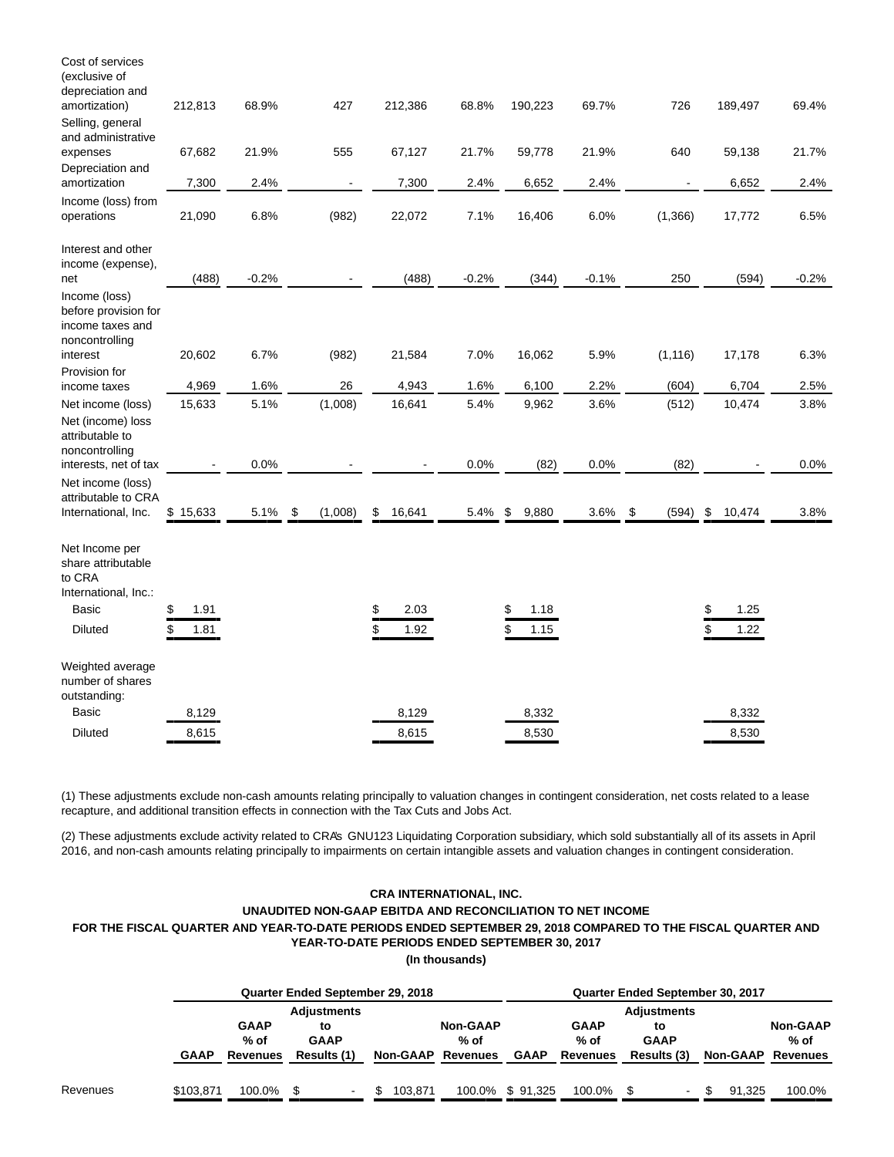| Cost of services<br>(exclusive of<br>depreciation and                              |            |         |               |              |         |             |         |             |              |         |
|------------------------------------------------------------------------------------|------------|---------|---------------|--------------|---------|-------------|---------|-------------|--------------|---------|
| amortization)<br>Selling, general                                                  | 212,813    | 68.9%   | 427           | 212,386      | 68.8%   | 190,223     | 69.7%   | 726         | 189,497      | 69.4%   |
| and administrative                                                                 |            |         |               |              |         |             |         |             |              |         |
| expenses                                                                           | 67,682     | 21.9%   | 555           | 67,127       | 21.7%   | 59,778      | 21.9%   | 640         | 59,138       | 21.7%   |
| Depreciation and<br>amortization                                                   | 7,300      | 2.4%    |               | 7,300        | 2.4%    | 6,652       | 2.4%    |             | 6,652        | 2.4%    |
| Income (loss) from<br>operations                                                   | 21,090     | 6.8%    | (982)         | 22,072       | 7.1%    | 16,406      | 6.0%    | (1, 366)    | 17,772       | 6.5%    |
| Interest and other<br>income (expense),                                            | (488)      | $-0.2%$ |               | (488)        | $-0.2%$ | (344)       | $-0.1%$ | 250         | (594)        | $-0.2%$ |
| net<br>Income (loss)<br>before provision for<br>income taxes and<br>noncontrolling |            |         |               |              |         |             |         |             |              |         |
| interest                                                                           | 20,602     | 6.7%    | (982)         | 21,584       | 7.0%    | 16,062      | 5.9%    | (1, 116)    | 17,178       | 6.3%    |
| Provision for<br>income taxes                                                      | 4,969      | 1.6%    | 26            | 4,943        | 1.6%    | 6,100       | 2.2%    | (604)       | 6,704        | 2.5%    |
| Net income (loss)                                                                  | 15,633     | 5.1%    | (1,008)       | 16,641       | 5.4%    | 9,962       | 3.6%    | (512)       | 10,474       | 3.8%    |
| Net (income) loss<br>attributable to<br>noncontrolling                             |            |         |               |              |         |             |         |             |              |         |
| interests, net of tax                                                              |            | 0.0%    |               |              | 0.0%    | (82)        | 0.0%    | (82)        |              | 0.0%    |
| Net income (loss)<br>attributable to CRA<br>International, Inc.                    | \$15,633   | 5.1%    | \$<br>(1,008) | 16,641<br>\$ | 5.4%    | \$<br>9,880 | 3.6%    | \$<br>(594) | \$<br>10,474 | 3.8%    |
| Net Income per<br>share attributable<br>to CRA<br>International, Inc.:             |            |         |               |              |         |             |         |             |              |         |
| <b>Basic</b>                                                                       | \$<br>1.91 |         |               | \$<br>2.03   |         | \$<br>1.18  |         |             | \$<br>1.25   |         |
| Diluted                                                                            | \$<br>1.81 |         |               | \$<br>1.92   |         | \$<br>1.15  |         |             | 1.22<br>\$   |         |
| Weighted average<br>number of shares<br>outstanding:                               |            |         |               |              |         |             |         |             |              |         |
| <b>Basic</b>                                                                       | 8,129      |         |               | 8,129        |         | 8,332       |         |             | 8,332        |         |
| <b>Diluted</b>                                                                     | 8,615      |         |               | 8.615        |         | 8,530       |         |             | 8,530        |         |

(1) These adjustments exclude non-cash amounts relating principally to valuation changes in contingent consideration, net costs related to a lease recapture, and additional transition effects in connection with the Tax Cuts and Jobs Act.

(2) These adjustments exclude activity related to CRA's GNU123 Liquidating Corporation subsidiary, which sold substantially all of its assets in April 2016, and non-cash amounts relating principally to impairments on certain intangible assets and valuation changes in contingent consideration.

## **CRA INTERNATIONAL, INC.**

#### **UNAUDITED NON-GAAP EBITDA AND RECONCILIATION TO NET INCOME**

# **FOR THE FISCAL QUARTER AND YEAR-TO-DATE PERIODS ENDED SEPTEMBER 29, 2018 COMPARED TO THE FISCAL QUARTER AND YEAR-TO-DATE PERIODS ENDED SEPTEMBER 30, 2017**

# **(In thousands)**

|          |             |                                        | Quarter Ended September 29, 2018 |                 |                                     |                  |                                 | Quarter Ended September 30, 2017 |                 |                                     |  |  |
|----------|-------------|----------------------------------------|----------------------------------|-----------------|-------------------------------------|------------------|---------------------------------|----------------------------------|-----------------|-------------------------------------|--|--|
|          |             |                                        | <b>Adjustments</b>               |                 |                                     |                  | <b>Adjustments</b>              |                                  |                 |                                     |  |  |
|          | <b>GAAP</b> | <b>GAAP</b><br>% of<br><b>Revenues</b> | to<br><b>GAAP</b><br>Results (1) | <b>Non-GAAP</b> | <b>Non-GAAP</b><br>% of<br>Revenues | <b>GAAP</b>      | <b>GAAP</b><br>% of<br>Revenues | to<br><b>GAAP</b><br>Results (3) | <b>Non-GAAP</b> | <b>Non-GAAP</b><br>% of<br>Revenues |  |  |
| Revenues | \$103.871   | 100.0% \$                              |                                  | 103.871         |                                     | 100.0% \$ 91,325 | 100.0%                          |                                  | 91.325          | 100.0%                              |  |  |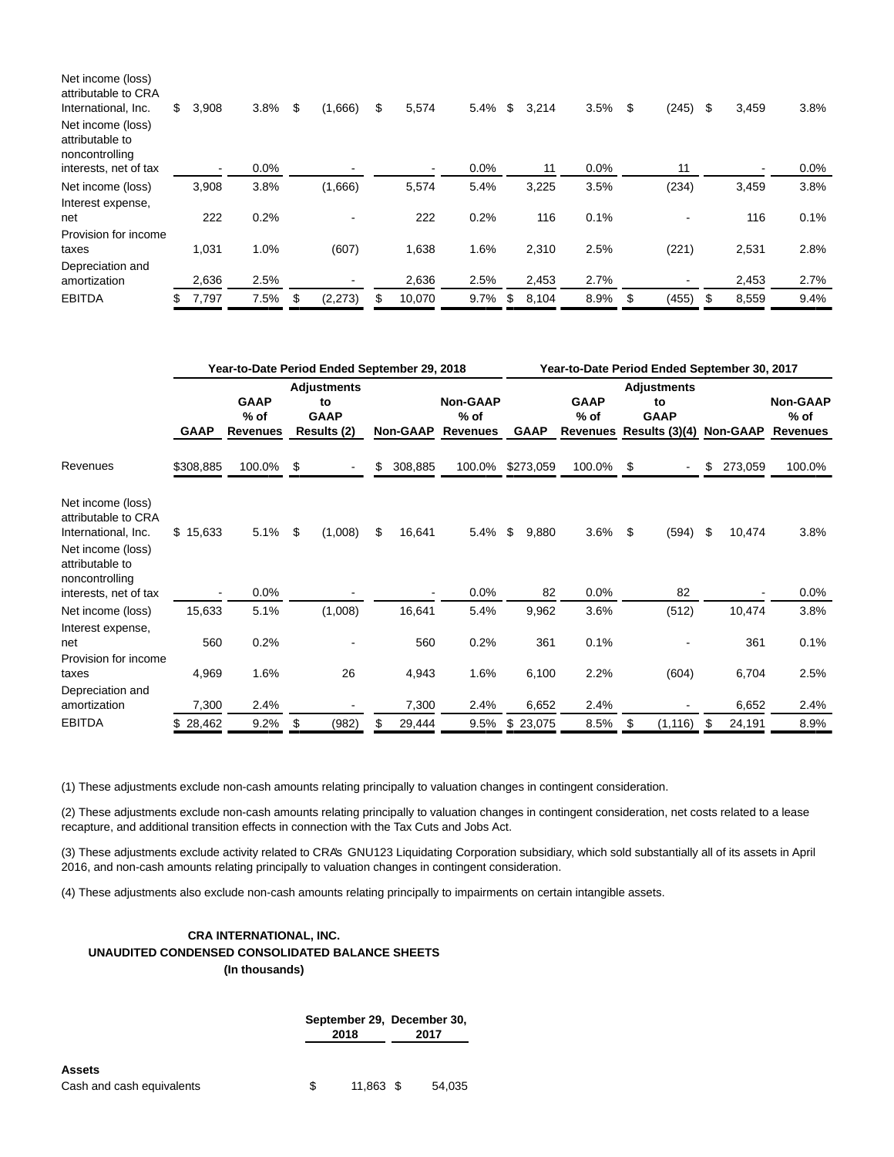| Net income (loss)<br>attributable to CRA               |     |                          |         |                |     |        |         |    |       |         |             |             |         |
|--------------------------------------------------------|-----|--------------------------|---------|----------------|-----|--------|---------|----|-------|---------|-------------|-------------|---------|
| International, Inc.                                    | \$  | 3,908                    | 3.8%    | \$<br>(1,666)  | \$  | 5,574  | 5.4%    | \$ | 3,214 | 3.5%    | \$<br>(245) | \$<br>3,459 | 3.8%    |
| Net income (loss)<br>attributable to<br>noncontrolling |     |                          |         |                |     |        |         |    |       |         |             |             |         |
| interests, net of tax                                  |     | $\overline{\phantom{a}}$ | $0.0\%$ |                |     |        | $0.0\%$ |    | 11    | $0.0\%$ | 11          |             | $0.0\%$ |
| Net income (loss)                                      |     | 3,908                    | 3.8%    | (1,666)        |     | 5,574  | 5.4%    |    | 3,225 | 3.5%    | (234)       | 3,459       | 3.8%    |
| Interest expense,                                      |     |                          |         |                |     |        |         |    |       |         |             |             |         |
| net                                                    |     | 222                      | 0.2%    | ۰              |     | 222    | 0.2%    |    | 116   | 0.1%    |             | 116         | 0.1%    |
| Provision for income                                   |     |                          |         |                |     |        |         |    |       |         |             |             |         |
| taxes                                                  |     | 1.031                    | 1.0%    | (607)          |     | 1,638  | 1.6%    |    | 2,310 | 2.5%    | (221)       | 2,531       | 2.8%    |
| Depreciation and                                       |     |                          |         |                |     |        |         |    |       |         |             |             |         |
| amortization                                           |     | 2,636                    | 2.5%    | ٠              |     | 2,636  | 2.5%    |    | 2,453 | 2.7%    |             | 2,453       | 2.7%    |
| <b>EBITDA</b>                                          | \$. | 7,797                    | 7.5%    | \$<br>(2, 273) | \$. | 10,070 | 9.7%    | S  | 8,104 | 8.9%    | \$<br>(455) | \$<br>8,559 | 9.4%    |

|                                                                                                                           |               |                                          | Year-to-Date Period Ended September 29, 2018           | Year-to-Date Period Ended September 30, 2017 |                                              |                   |                                                  |    |                                         |    |                 |                                              |
|---------------------------------------------------------------------------------------------------------------------------|---------------|------------------------------------------|--------------------------------------------------------|----------------------------------------------|----------------------------------------------|-------------------|--------------------------------------------------|----|-----------------------------------------|----|-----------------|----------------------------------------------|
|                                                                                                                           | <b>GAAP</b>   | <b>GAAP</b><br>$%$ of<br><b>Revenues</b> | <b>Adjustments</b><br>to<br><b>GAAP</b><br>Results (2) | <b>Non-GAAP</b>                              | <b>Non-GAAP</b><br>$%$ of<br><b>Revenues</b> | <b>GAAP</b>       | <b>GAAP</b><br>$%$ of<br>Revenues Results (3)(4) |    | <b>Adjustments</b><br>to<br><b>GAAP</b> |    | <b>Non-GAAP</b> | <b>Non-GAAP</b><br>$%$ of<br><b>Revenues</b> |
| Revenues                                                                                                                  | \$308,885     | 100.0%                                   | \$                                                     | \$<br>308,885                                | 100.0%                                       | \$273,059         | 100.0%                                           | \$ |                                         | \$ | 273,059         | 100.0%                                       |
| Net income (loss)<br>attributable to CRA<br>International, Inc.<br>Net income (loss)<br>attributable to<br>noncontrolling | \$15,633      | 5.1%<br>0.0%                             | \$<br>(1,008)                                          | \$<br>16,641                                 | 5.4%<br>0.0%                                 | \$<br>9,880<br>82 | 3.6%<br>0.0%                                     | \$ | (594)<br>82                             | \$ | 10,474          | 3.8%<br>$0.0\%$                              |
| interests, net of tax                                                                                                     |               |                                          |                                                        |                                              |                                              |                   |                                                  |    |                                         |    |                 |                                              |
| Net income (loss)<br>Interest expense,<br>net<br>Provision for income                                                     | 15,633<br>560 | 5.1%<br>0.2%                             | (1,008)<br>۰                                           | 16,641<br>560                                | 5.4%<br>0.2%                                 | 9,962<br>361      | 3.6%<br>0.1%                                     |    | (512)                                   |    | 10,474<br>361   | 3.8%<br>0.1%                                 |
| taxes                                                                                                                     | 4,969         | 1.6%                                     | 26                                                     | 4,943                                        | 1.6%                                         | 6,100             | 2.2%                                             |    | (604)                                   |    | 6,704           | 2.5%                                         |
| Depreciation and<br>amortization                                                                                          | 7,300         | 2.4%                                     |                                                        | 7,300                                        | 2.4%                                         | 6,652             | 2.4%                                             |    |                                         |    | 6,652           | 2.4%                                         |
| <b>EBITDA</b>                                                                                                             | 28,462        | 9.2%                                     | \$<br>(982)                                            | \$<br>29,444                                 | 9.5%                                         | \$23,075          | 8.5%                                             | \$ | (1, 116)                                | \$ | 24,191          | 8.9%                                         |

(1) These adjustments exclude non-cash amounts relating principally to valuation changes in contingent consideration.

(2) These adjustments exclude non-cash amounts relating principally to valuation changes in contingent consideration, net costs related to a lease recapture, and additional transition effects in connection with the Tax Cuts and Jobs Act.

(3) These adjustments exclude activity related to CRA's GNU123 Liquidating Corporation subsidiary, which sold substantially all of its assets in April 2016, and non-cash amounts relating principally to valuation changes in contingent consideration.

(4) These adjustments also exclude non-cash amounts relating principally to impairments on certain intangible assets.

# **CRA INTERNATIONAL, INC. UNAUDITED CONDENSED CONSOLIDATED BALANCE SHEETS (In thousands)**

| September 29, December 30, |      |
|----------------------------|------|
| 2018                       | 2017 |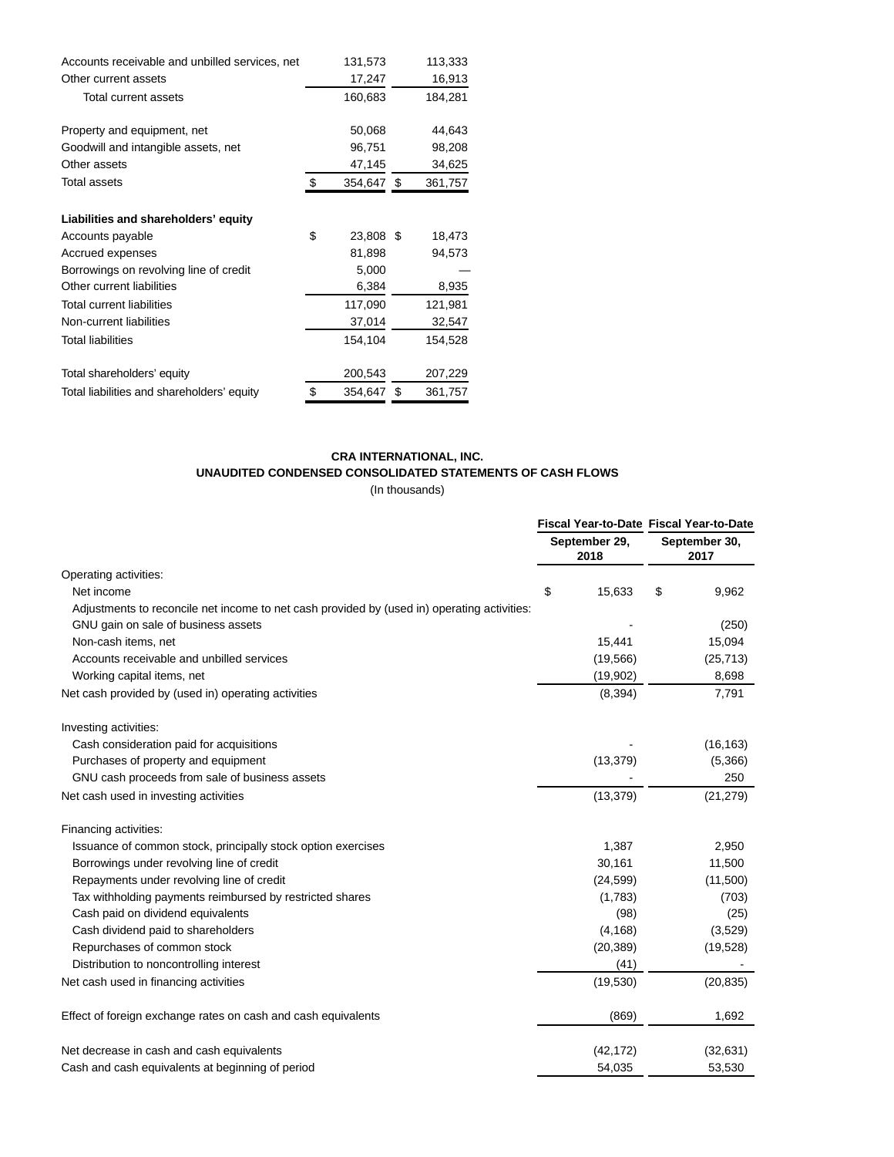| Accounts receivable and unbilled services, net | 131,573          |   | 113,333 |
|------------------------------------------------|------------------|---|---------|
| Other current assets                           | 17,247           |   | 16,913  |
| Total current assets                           | 160,683          |   | 184,281 |
| Property and equipment, net                    | 50,068           |   | 44,643  |
| Goodwill and intangible assets, net            | 96,751           |   | 98,208  |
| Other assets                                   | 47,145           |   | 34,625  |
| <b>Total assets</b>                            | \$<br>354,647 \$ |   | 361,757 |
| Liabilities and shareholders' equity           |                  |   |         |
| Accounts payable                               | \$<br>23,808 \$  |   | 18,473  |
| Accrued expenses                               | 81,898           |   | 94,573  |
| Borrowings on revolving line of credit         | 5,000            |   |         |
| Other current liabilities                      | 6,384            |   | 8,935   |
| <b>Total current liabilities</b>               | 117,090          |   | 121,981 |
| Non-current liabilities                        | 37,014           |   | 32,547  |
| <b>Total liabilities</b>                       | 154,104          |   | 154,528 |
| Total shareholders' equity                     | 200,543          |   | 207,229 |
| Total liabilities and shareholders' equity     | \$<br>354,647    | S | 361,757 |

# **CRA INTERNATIONAL, INC. UNAUDITED CONDENSED CONSOLIDATED STATEMENTS OF CASH FLOWS**

(In thousands)

| September 29,<br>September 30,<br>2018<br>2017<br>Operating activities:<br>\$<br>15,633<br>Net income<br>\$<br>9,962<br>Adjustments to reconcile net income to net cash provided by (used in) operating activities:<br>GNU gain on sale of business assets<br>(250)<br>15,094<br>Non-cash items, net<br>15,441<br>Accounts receivable and unbilled services<br>(19, 566)<br>(25, 713)<br>Working capital items, net<br>(19,902)<br>8,698<br>(8, 394)<br>Net cash provided by (used in) operating activities<br>7,791<br>Investing activities:<br>Cash consideration paid for acquisitions<br>(16, 163)<br>Purchases of property and equipment<br>(13, 379)<br>(5,366)<br>250<br>GNU cash proceeds from sale of business assets<br>(13, 379)<br>Net cash used in investing activities<br>(21, 279)<br>Financing activities:<br>1,387<br>2,950<br>Issuance of common stock, principally stock option exercises<br>Borrowings under revolving line of credit<br>30,161<br>11,500<br>Repayments under revolving line of credit<br>(11,500)<br>(24, 599)<br>Tax withholding payments reimbursed by restricted shares<br>(1,783)<br>(703)<br>Cash paid on dividend equivalents<br>(98)<br>(25)<br>(4, 168)<br>(3,529)<br>Cash dividend paid to shareholders<br>Repurchases of common stock<br>(20, 389)<br>(19, 528)<br>Distribution to noncontrolling interest<br>(41)<br>Net cash used in financing activities<br>(19,530)<br>(20, 835)<br>Effect of foreign exchange rates on cash and cash equivalents<br>(869)<br>1,692<br>Net decrease in cash and cash equivalents<br>(42, 172)<br>(32, 631)<br>Cash and cash equivalents at beginning of period<br>54,035<br>53,530 |  | Fiscal Year-to-Date Fiscal Year-to-Date |  |
|-----------------------------------------------------------------------------------------------------------------------------------------------------------------------------------------------------------------------------------------------------------------------------------------------------------------------------------------------------------------------------------------------------------------------------------------------------------------------------------------------------------------------------------------------------------------------------------------------------------------------------------------------------------------------------------------------------------------------------------------------------------------------------------------------------------------------------------------------------------------------------------------------------------------------------------------------------------------------------------------------------------------------------------------------------------------------------------------------------------------------------------------------------------------------------------------------------------------------------------------------------------------------------------------------------------------------------------------------------------------------------------------------------------------------------------------------------------------------------------------------------------------------------------------------------------------------------------------------------------------------------------------------------------------------|--|-----------------------------------------|--|
|                                                                                                                                                                                                                                                                                                                                                                                                                                                                                                                                                                                                                                                                                                                                                                                                                                                                                                                                                                                                                                                                                                                                                                                                                                                                                                                                                                                                                                                                                                                                                                                                                                                                       |  |                                         |  |
|                                                                                                                                                                                                                                                                                                                                                                                                                                                                                                                                                                                                                                                                                                                                                                                                                                                                                                                                                                                                                                                                                                                                                                                                                                                                                                                                                                                                                                                                                                                                                                                                                                                                       |  |                                         |  |
|                                                                                                                                                                                                                                                                                                                                                                                                                                                                                                                                                                                                                                                                                                                                                                                                                                                                                                                                                                                                                                                                                                                                                                                                                                                                                                                                                                                                                                                                                                                                                                                                                                                                       |  |                                         |  |
|                                                                                                                                                                                                                                                                                                                                                                                                                                                                                                                                                                                                                                                                                                                                                                                                                                                                                                                                                                                                                                                                                                                                                                                                                                                                                                                                                                                                                                                                                                                                                                                                                                                                       |  |                                         |  |
|                                                                                                                                                                                                                                                                                                                                                                                                                                                                                                                                                                                                                                                                                                                                                                                                                                                                                                                                                                                                                                                                                                                                                                                                                                                                                                                                                                                                                                                                                                                                                                                                                                                                       |  |                                         |  |
|                                                                                                                                                                                                                                                                                                                                                                                                                                                                                                                                                                                                                                                                                                                                                                                                                                                                                                                                                                                                                                                                                                                                                                                                                                                                                                                                                                                                                                                                                                                                                                                                                                                                       |  |                                         |  |
|                                                                                                                                                                                                                                                                                                                                                                                                                                                                                                                                                                                                                                                                                                                                                                                                                                                                                                                                                                                                                                                                                                                                                                                                                                                                                                                                                                                                                                                                                                                                                                                                                                                                       |  |                                         |  |
|                                                                                                                                                                                                                                                                                                                                                                                                                                                                                                                                                                                                                                                                                                                                                                                                                                                                                                                                                                                                                                                                                                                                                                                                                                                                                                                                                                                                                                                                                                                                                                                                                                                                       |  |                                         |  |
|                                                                                                                                                                                                                                                                                                                                                                                                                                                                                                                                                                                                                                                                                                                                                                                                                                                                                                                                                                                                                                                                                                                                                                                                                                                                                                                                                                                                                                                                                                                                                                                                                                                                       |  |                                         |  |
|                                                                                                                                                                                                                                                                                                                                                                                                                                                                                                                                                                                                                                                                                                                                                                                                                                                                                                                                                                                                                                                                                                                                                                                                                                                                                                                                                                                                                                                                                                                                                                                                                                                                       |  |                                         |  |
|                                                                                                                                                                                                                                                                                                                                                                                                                                                                                                                                                                                                                                                                                                                                                                                                                                                                                                                                                                                                                                                                                                                                                                                                                                                                                                                                                                                                                                                                                                                                                                                                                                                                       |  |                                         |  |
|                                                                                                                                                                                                                                                                                                                                                                                                                                                                                                                                                                                                                                                                                                                                                                                                                                                                                                                                                                                                                                                                                                                                                                                                                                                                                                                                                                                                                                                                                                                                                                                                                                                                       |  |                                         |  |
|                                                                                                                                                                                                                                                                                                                                                                                                                                                                                                                                                                                                                                                                                                                                                                                                                                                                                                                                                                                                                                                                                                                                                                                                                                                                                                                                                                                                                                                                                                                                                                                                                                                                       |  |                                         |  |
|                                                                                                                                                                                                                                                                                                                                                                                                                                                                                                                                                                                                                                                                                                                                                                                                                                                                                                                                                                                                                                                                                                                                                                                                                                                                                                                                                                                                                                                                                                                                                                                                                                                                       |  |                                         |  |
|                                                                                                                                                                                                                                                                                                                                                                                                                                                                                                                                                                                                                                                                                                                                                                                                                                                                                                                                                                                                                                                                                                                                                                                                                                                                                                                                                                                                                                                                                                                                                                                                                                                                       |  |                                         |  |
|                                                                                                                                                                                                                                                                                                                                                                                                                                                                                                                                                                                                                                                                                                                                                                                                                                                                                                                                                                                                                                                                                                                                                                                                                                                                                                                                                                                                                                                                                                                                                                                                                                                                       |  |                                         |  |
|                                                                                                                                                                                                                                                                                                                                                                                                                                                                                                                                                                                                                                                                                                                                                                                                                                                                                                                                                                                                                                                                                                                                                                                                                                                                                                                                                                                                                                                                                                                                                                                                                                                                       |  |                                         |  |
|                                                                                                                                                                                                                                                                                                                                                                                                                                                                                                                                                                                                                                                                                                                                                                                                                                                                                                                                                                                                                                                                                                                                                                                                                                                                                                                                                                                                                                                                                                                                                                                                                                                                       |  |                                         |  |
|                                                                                                                                                                                                                                                                                                                                                                                                                                                                                                                                                                                                                                                                                                                                                                                                                                                                                                                                                                                                                                                                                                                                                                                                                                                                                                                                                                                                                                                                                                                                                                                                                                                                       |  |                                         |  |
|                                                                                                                                                                                                                                                                                                                                                                                                                                                                                                                                                                                                                                                                                                                                                                                                                                                                                                                                                                                                                                                                                                                                                                                                                                                                                                                                                                                                                                                                                                                                                                                                                                                                       |  |                                         |  |
|                                                                                                                                                                                                                                                                                                                                                                                                                                                                                                                                                                                                                                                                                                                                                                                                                                                                                                                                                                                                                                                                                                                                                                                                                                                                                                                                                                                                                                                                                                                                                                                                                                                                       |  |                                         |  |
|                                                                                                                                                                                                                                                                                                                                                                                                                                                                                                                                                                                                                                                                                                                                                                                                                                                                                                                                                                                                                                                                                                                                                                                                                                                                                                                                                                                                                                                                                                                                                                                                                                                                       |  |                                         |  |
|                                                                                                                                                                                                                                                                                                                                                                                                                                                                                                                                                                                                                                                                                                                                                                                                                                                                                                                                                                                                                                                                                                                                                                                                                                                                                                                                                                                                                                                                                                                                                                                                                                                                       |  |                                         |  |
|                                                                                                                                                                                                                                                                                                                                                                                                                                                                                                                                                                                                                                                                                                                                                                                                                                                                                                                                                                                                                                                                                                                                                                                                                                                                                                                                                                                                                                                                                                                                                                                                                                                                       |  |                                         |  |
|                                                                                                                                                                                                                                                                                                                                                                                                                                                                                                                                                                                                                                                                                                                                                                                                                                                                                                                                                                                                                                                                                                                                                                                                                                                                                                                                                                                                                                                                                                                                                                                                                                                                       |  |                                         |  |
|                                                                                                                                                                                                                                                                                                                                                                                                                                                                                                                                                                                                                                                                                                                                                                                                                                                                                                                                                                                                                                                                                                                                                                                                                                                                                                                                                                                                                                                                                                                                                                                                                                                                       |  |                                         |  |
|                                                                                                                                                                                                                                                                                                                                                                                                                                                                                                                                                                                                                                                                                                                                                                                                                                                                                                                                                                                                                                                                                                                                                                                                                                                                                                                                                                                                                                                                                                                                                                                                                                                                       |  |                                         |  |